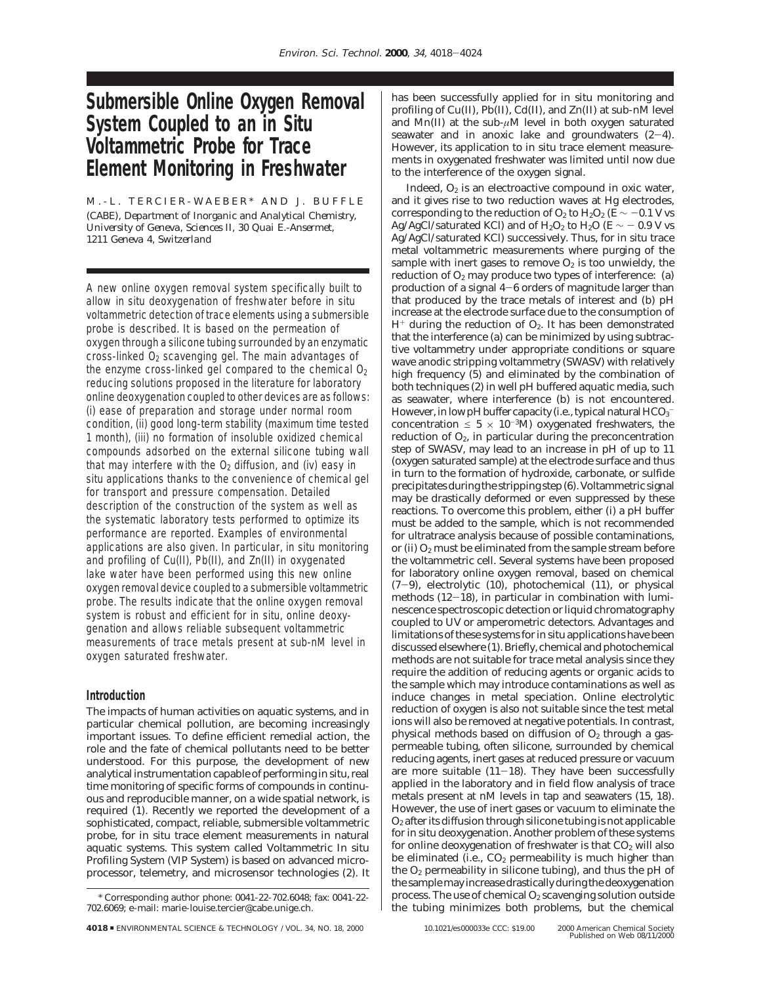# **Submersible Online Oxygen Removal System Coupled to an in Situ Voltammetric Probe for Trace Element Monitoring in Freshwater**

M.-L. TERCIER-WAEBER\* AND J. BUFFLE *(CABE), Department of Inorganic and Analytical Chemistry, University of Geneva, Sciences II, 30 Quai E.-Ansermet, 1211 Geneva 4, Switzerland*

A new online oxygen removal system specifically built to allow in situ deoxygenation of freshwater before in situ voltammetric detection of trace elements using a submersible probe is described. It is based on the permeation of oxygen through a silicone tubing surrounded by an enzymatic cross-linked  $O<sub>2</sub>$  scavenging gel. The main advantages of the enzyme cross-linked gel compared to the chemical  $O<sub>2</sub>$ reducing solutions proposed in the literature for laboratory online deoxygenation coupled to other devices are as follows: (i) ease of preparation and storage under normal room condition, (ii) good long-term stability (maximum time tested 1 month), (iii) no formation of insoluble oxidized chemical compounds adsorbed on the external silicone tubing wall that may interfere with the  $O<sub>2</sub>$  diffusion, and (iv) easy in situ applications thanks to the convenience of chemical gel for transport and pressure compensation. Detailed description of the construction of the system as well as the systematic laboratory tests performed to optimize its performance are reported. Examples of environmental applications are also given. In particular, in situ monitoring and profiling of Cu(II), Pb(II), and Zn(II) in oxygenated lake water have been performed using this new online oxygen removal device coupled to a submersible voltammetric probe. The results indicate that the online oxygen removal system is robust and efficient for in situ, online deoxygenation and allows reliable subsequent voltammetric measurements of trace metals present at sub-nM level in oxygen saturated freshwater.

# **Introduction**

The impacts of human activities on aquatic systems, and in particular chemical pollution, are becoming increasingly important issues. To define efficient remedial action, the role and the fate of chemical pollutants need to be better understood. For this purpose, the development of new analytical instrumentation capable of performing in situ, real time monitoring of specific forms of compounds in continuous and reproducible manner, on a wide spatial network, is required (*1*). Recently we reported the development of a sophisticated, compact, reliable, submersible voltammetric probe, for in situ trace element measurements in natural aquatic systems. This system called Voltammetric In situ Profiling System (VIP System) is based on advanced microprocessor, telemetry, and microsensor technologies (*2*). It

**4018 ENVIRONMENTAL SCIENCE & TECHNOLOGY / VOL. 34, NO. 18, 2000 10.1021/es000033e CCC: \$19.00 American Chemical Society Society Society Society Society Society Society Society Society Society Society Society Society Soc** 

has been successfully applied for in situ monitoring and profiling of Cu(II), Pb(II), Cd(II), and Zn(II) at sub-nM level and Mn(II) at the sub- $\mu$ M level in both oxygen saturated seawater and in anoxic lake and groundwaters (*2*-*4*). However, its application to in situ trace element measurements in oxygenated freshwater was limited until now due to the interference of the oxygen signal.

Indeed,  $O_2$  is an electroactive compound in oxic water, and it gives rise to two reduction waves at Hg electrodes, corresponding to the reduction of  $O_2$  to  $H_2O_2$  (*E* ∼ −0.1 V vs Ag/AgCl/saturated KCl) and of H<sub>2</sub>O<sub>2</sub> to H<sub>2</sub>O ( $E \sim -0.9$  V vs Ag/AgCl/saturated KCl) successively. Thus, for in situ trace metal voltammetric measurements where purging of the sample with inert gases to remove  $O_2$  is too unwieldy, the reduction of  $O_2$  may produce two types of interference: (a) production of a signal 4-6 orders of magnitude larger than that produced by the trace metals of interest and (b) pH increase at the electrode surface due to the consumption of  $H^+$  during the reduction of  $O_2$ . It has been demonstrated that the interference (a) can be minimized by using subtractive voltammetry under appropriate conditions or square wave anodic stripping voltammetry (SWASV) with relatively high frequency (*5*) and eliminated by the combination of both techniques (*2*) in well pH buffered aquatic media, such as seawater, where interference (b) is not encountered. However, in low pH buffer capacity (i.e., typical natural  $\mathrm{HCO_3}^$ concentration  $\leq 5 \times 10^{-3}$ M) oxygenated freshwaters, the reduction of  $O_2$ , in particular during the preconcentration step of SWASV, may lead to an increase in pH of up to 11 (oxygen saturated sample) at the electrode surface and thus in turn to the formation of hydroxide, carbonate, or sulfide precipitates during the stripping step (*6*). Voltammetric signal may be drastically deformed or even suppressed by these reactions. To overcome this problem, either (i) a pH buffer must be added to the sample, which is not recommended for ultratrace analysis because of possible contaminations, or (ii) O<sub>2</sub> must be eliminated from the sample stream before the voltammetric cell. Several systems have been proposed for laboratory online oxygen removal, based on chemical (*7*-*9*), electrolytic (*10*), photochemical (*11*), or physical methods (12-18), in particular in combination with luminescence spectroscopic detection or liquid chromatography coupled to UV or amperometric detectors. Advantages and limitations of these systems for in situ applications have been discussed elsewhere (*1*). Briefly, chemical and photochemical methods are not suitable for trace metal analysis since they require the addition of reducing agents or organic acids to the sample which may introduce contaminations as well as induce changes in metal speciation. Online electrolytic reduction of oxygen is also not suitable since the test metal ions will also be removed at negative potentials. In contrast, physical methods based on diffusion of  $O<sub>2</sub>$  through a gaspermeable tubing, often silicone, surrounded by chemical reducing agents, inert gases at reduced pressure or vacuum are more suitable  $(11-18)$ . They have been successfully applied in the laboratory and in field flow analysis of trace metals present at nM levels in tap and seawaters (*15, 18*). However, the use of inert gases or vacuum to eliminate the  $O<sub>2</sub>$  after its diffusion through silicone tubing is not applicable for in situ deoxygenation. Another problem of these systems for online deoxygenation of freshwater is that  $CO<sub>2</sub>$  will also be eliminated (i.e.,  $CO<sub>2</sub>$  permeability is much higher than the  $O<sub>2</sub>$  permeability in silicone tubing), and thus the pH of the sample may increase drastically during the deoxygenation process. The use of chemical  $O_2$  scavenging solution outside the tubing minimizes both problems, but the chemical

<sup>\*</sup> Corresponding author phone: 0041-22-702.6048; fax: 0041-22- 702.6069; e-mail: marie-louise.tercier@cabe.unige.ch.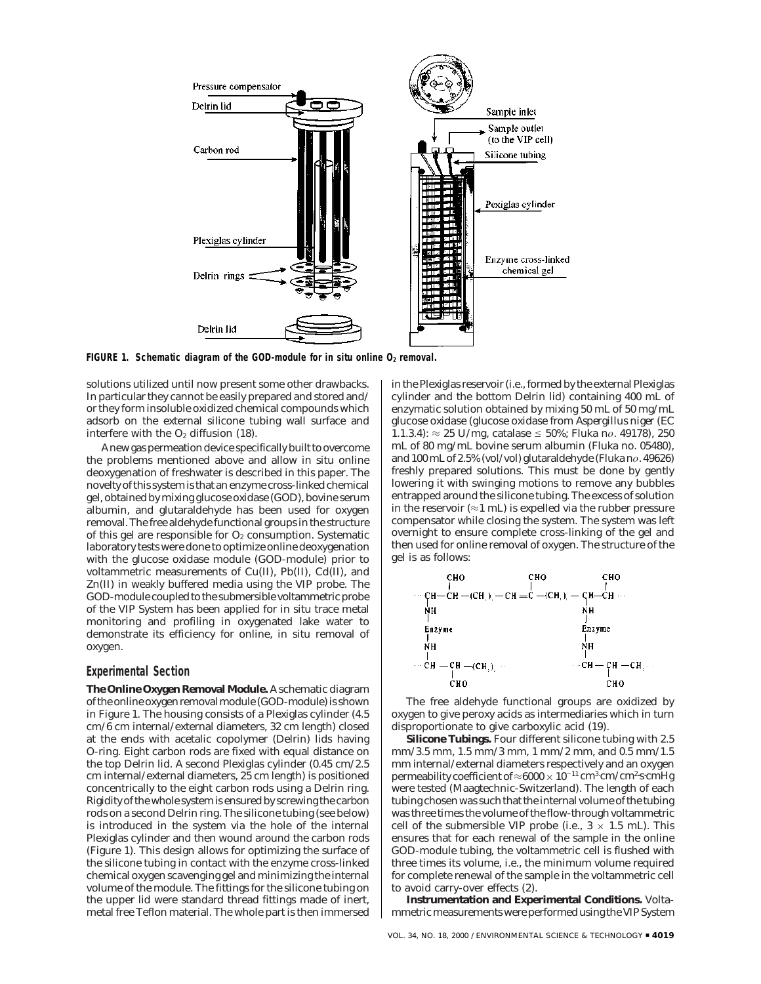

FIGURE 1. Schematic diagram of the GOD-module for in situ online O<sub>2</sub> removal.

solutions utilized until now present some other drawbacks. In particular they cannot be easily prepared and stored and/ or they form insoluble oxidized chemical compounds which adsorb on the external silicone tubing wall surface and interfere with the O2 diffusion (*18*).

A new gas permeation device specifically built to overcome the problems mentioned above and allow in situ online deoxygenation of freshwater is described in this paper. The novelty of this system is that an enzyme cross-linked chemical gel, obtained by mixing glucose oxidase (GOD), bovine serum albumin, and glutaraldehyde has been used for oxygen removal. The free aldehyde functional groups in the structure of this gel are responsible for  $O_2$  consumption. Systematic laboratory tests were done to optimize online deoxygenation with the glucose oxidase module (GOD-module) prior to voltammetric measurements of Cu(II), Pb(II), Cd(II), and Zn(II) in weakly buffered media using the VIP probe. The GOD-module coupled to the submersible voltammetric probe of the VIP System has been applied for in situ trace metal monitoring and profiling in oxygenated lake water to demonstrate its efficiency for online, in situ removal of oxygen.

#### **Experimental Section**

**The Online Oxygen Removal Module.** A schematic diagram of the online oxygen removal module (GOD-module) is shown in Figure 1. The housing consists of a Plexiglas cylinder (4.5 cm/6 cm internal/external diameters, 32 cm length) closed at the ends with acetalic copolymer (Delrin) lids having O-ring. Eight carbon rods are fixed with equal distance on the top Delrin lid. A second Plexiglas cylinder (0.45 cm/2.5 cm internal/external diameters, 25 cm length) is positioned concentrically to the eight carbon rods using a Delrin ring. Rigidity of the whole system is ensured by screwing the carbon rods on a second Delrin ring. The silicone tubing (see below) is introduced in the system via the hole of the internal Plexiglas cylinder and then wound around the carbon rods (Figure 1). This design allows for optimizing the surface of the silicone tubing in contact with the enzyme cross-linked chemical oxygen scavenging gel and minimizing the internal volume of the module. The fittings for the silicone tubing on the upper lid were standard thread fittings made of inert, metal free Teflon material. The whole part is then immersed

in the Plexiglas reservoir (i.e., formed by the external Plexiglas cylinder and the bottom Delrin lid) containing 400 mL of enzymatic solution obtained by mixing 50 mL of 50 mg/mL glucose oxidase (glucose oxidase from *Aspergillus niger* (EC  $1.1.3.4$ ):  $\approx 25$  U/mg, catalase  $\leq 50\%$ ; Fluka no. 49178), 250 mL of 80 mg/mL bovine serum albumin (Fluka no. 05480), and 100 mL of 2.5% (vol/vol) glutaraldehyde (Fluka no. 49626) freshly prepared solutions. This must be done by gently lowering it with swinging motions to remove any bubbles entrapped around the silicone tubing. The excess of solution in the reservoir  $(\approx 1 \text{ mL})$  is expelled via the rubber pressure compensator while closing the system. The system was left overnight to ensure complete cross-linking of the gel and then used for online removal of oxygen. The structure of the gel is as follows:



The free aldehyde functional groups are oxidized by oxygen to give peroxy acids as intermediaries which in turn disproportionate to give carboxylic acid (*19*).

**Silicone Tubings.** Four different silicone tubing with 2.5 mm/3.5 mm, 1.5 mm/3 mm, 1 mm/2 mm, and 0.5 mm/1.5 mm internal/external diameters respectively and an oxygen permeability coefficient of ≈6000 × 10<sup>-11</sup> cm<sup>3</sup>.cm/cm<sup>2</sup>.s·cmHg were tested (Maagtechnic-Switzerland). The length of each tubing chosen was such that the internal volume of the tubing was three times the volume of the flow-through voltammetric cell of the submersible VIP probe (i.e.,  $3 \times 1.5$  mL). This ensures that for each renewal of the sample in the online GOD-module tubing, the voltammetric cell is flushed with three times its volume, i.e., the minimum volume required for complete renewal of the sample in the voltammetric cell to avoid carry-over effects (*2*).

**Instrumentation and Experimental Conditions.** Voltammetric measurements were performed using the VIP System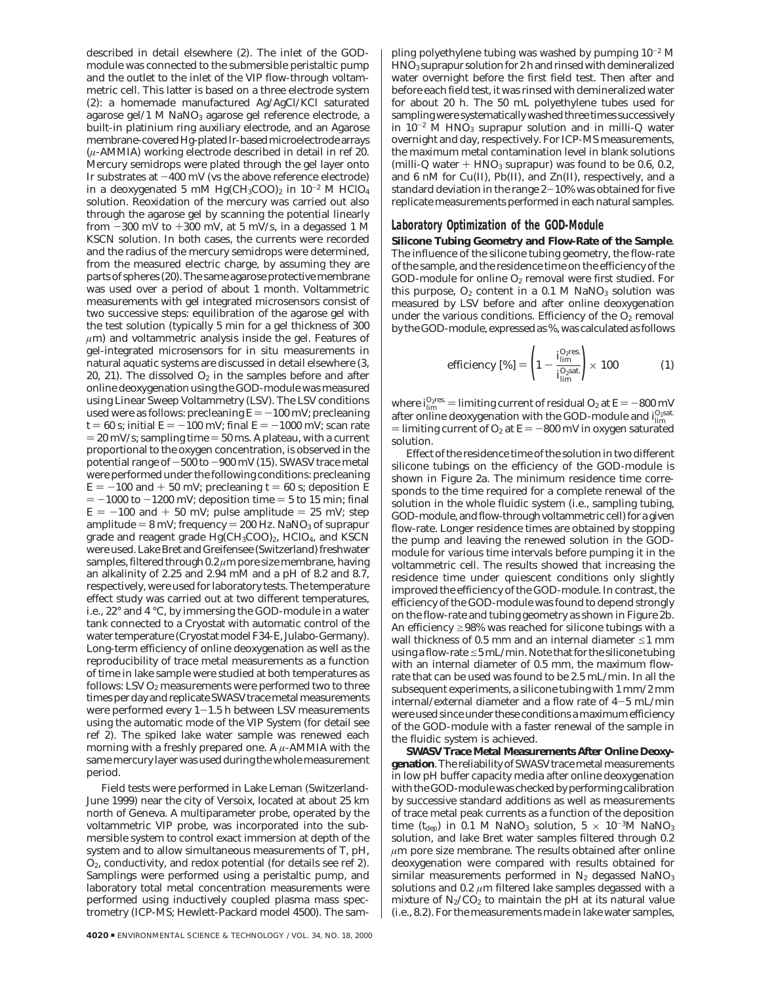described in detail elsewhere (*2*). The inlet of the GODmodule was connected to the submersible peristaltic pump and the outlet to the inlet of the VIP flow-through voltammetric cell. This latter is based on a three electrode system (*2*): a homemade manufactured Ag/AgCl/KCl saturated agarose gel/1 M NaNO<sub>3</sub> agarose gel reference electrode, a built-in platinium ring auxiliary electrode, and an Agarose membrane-covered Hg-plated Ir-based microelectrode arrays (*µ*-AMMIA) working electrode described in detail in ref *20*. Mercury semidrops were plated through the gel layer onto Ir substrates at  $-\hat{400}$  mV (vs the above reference electrode) in a deoxygenated 5 mM  $Hg(CH_3COO)_2$  in  $10^{-2}$  M HClO<sub>4</sub> solution. Reoxidation of the mercury was carried out also through the agarose gel by scanning the potential linearly from  $-300$  mV to  $+300$  mV, at 5 mV/s, in a degassed 1 M KSCN solution. In both cases, the currents were recorded and the radius of the mercury semidrops were determined, from the measured electric charge, by assuming they are parts of spheres (*20*). The same agarose protective membrane was used over a period of about 1 month. Voltammetric measurements with gel integrated microsensors consist of two successive steps: equilibration of the agarose gel with the test solution (typically 5 min for a gel thickness of 300 *µ*m) and voltammetric analysis inside the gel. Features of gel-integrated microsensors for in situ measurements in natural aquatic systems are discussed in detail elsewhere (*3,*  $20$ ,  $21$ ). The dissolved  $O<sub>2</sub>$  in the samples before and after online deoxygenation using the GOD-module was measured using Linear Sweep Voltammetry (LSV). The LSV conditions used were as follows: precleaning  $E = -100$  mV; precleaning  $t = 60$  s; initial  $E = -100$  mV; final  $E = -1000$  mV; scan rate  $= 20$  mV/s; sampling time  $= 50$  ms. A plateau, with a current proportional to the oxygen concentration, is observed in the potential range of  $-500$  to  $-900$  mV (15). SWASV trace metal were performed under the following conditions: precleaning  $E = -100$  and  $+ 50$  mV; precleaning  $t = 60$  s; deposition *E*  $=$  -1000 to -1200 mV; deposition time = 5 to 15 min; final  $E = -100$  and  $+ 50$  mV; pulse amplitude  $= 25$  mV; step amplitude =  $8$  mV; frequency =  $200$  Hz. NaNO<sub>3</sub> of suprapur grade and reagent grade  $Hg(CH_3COO)_2$ , HClO<sub>4</sub>, and KSCN were used. Lake Bret and Greifensee (Switzerland) freshwater samples, filtered through 0.2 *µ*m pore size membrane, having an alkalinity of 2.25 and 2.94 mM and a pH of 8.2 and 8.7, respectively, were used for laboratory tests. The temperature effect study was carried out at two different temperatures, i.e., 22° and 4 °C, by immersing the GOD-module in a water tank connected to a Cryostat with automatic control of the water temperature (Cryostat model F34-E, Julabo-Germany). Long-term efficiency of online deoxygenation as well as the reproducibility of trace metal measurements as a function of time in lake sample were studied at both temperatures as follows: LSV  $O_2$  measurements were performed two to three times per day and replicate SWASV trace metal measurements were performed every  $1-1.5$  h between LSV measurements using the automatic mode of the VIP System (for detail see ref *2*). The spiked lake water sample was renewed each morning with a freshly prepared one. A *µ*-AMMIA with the same mercury layer was used during the whole measurement period.

Field tests were performed in Lake Leman (Switzerland-June 1999) near the city of Versoix, located at about 25 km north of Geneva. A multiparameter probe, operated by the voltammetric VIP probe, was incorporated into the submersible system to control exact immersion at depth of the system and to allow simultaneous measurements of *T*, pH, O2, conductivity, and redox potential (for details see ref *2*). Samplings were performed using a peristaltic pump, and laboratory total metal concentration measurements were performed using inductively coupled plasma mass spectrometry (ICP-MS; Hewlett-Packard model 4500). The sampling polyethylene tubing was washed by pumping 10-<sup>2</sup> M HNO3 suprapur solution for 2 h and rinsed with demineralized water overnight before the first field test. Then after and before each field test, it was rinsed with demineralized water for about 20 h. The 50 mL polyethylene tubes used for sampling were systematically washed three times successively in  $10^{-2}$  M HNO<sub>3</sub> suprapur solution and in milli-Q water overnight and day, respectively. For ICP-MS measurements, the maximum metal contamination level in blank solutions (milli-Q water  $+$  HNO<sub>3</sub> suprapur) was found to be 0.6, 0.2, and 6 nM for Cu(II), Pb(II), and Zn(II), respectively, and a standard deviation in the range  $2-10\%$  was obtained for five replicate measurements performed in each natural samples.

### **Laboratory Optimization of the GOD-Module**

**Silicone Tubing Geometry and Flow-Rate of the Sample**. The influence of the silicone tubing geometry, the flow-rate of the sample, and the residence time on the efficiency of the GOD-module for online  $O_2$  removal were first studied. For this purpose,  $O_2$  content in a 0.1 M NaN $O_3$  solution was measured by LSV before and after online deoxygenation under the various conditions. Efficiency of the  $O<sub>2</sub>$  removal by the GOD-module, expressed as %, was calculated as follows

$$
\text{efficiency } [\%] = \left(1 - \frac{I_{\text{lin}}^{\text{Oyres.}}}{I_{\text{lin}}^{\text{Ozast}}} \right) \times 100 \tag{1}
$$

where  $i_{\rm lim}^{\rm O_2res.}$  = limiting current of residual O<sub>2</sub> at  $E$  =  $-800$  mV<br>after online deoxygenation with the COD-module and r<sup>0</sup>z<sup>sat.</sup> after online deoxygenation with the GOD-module and  $i_{\rm lim}^{\rm O_2 sat.}$ = limiting current of  $O_2$  at  $E = -800$  mV in oxygen saturated solution.

Effect of the residence time of the solution in two different silicone tubings on the efficiency of the GOD-module is shown in Figure 2a. The minimum residence time corresponds to the time required for a complete renewal of the solution in the whole fluidic system (i.e., sampling tubing, GOD-module, and flow-through voltammetric cell) for a given flow-rate. Longer residence times are obtained by stopping the pump and leaving the renewed solution in the GODmodule for various time intervals before pumping it in the voltammetric cell. The results showed that increasing the residence time under quiescent conditions only slightly improved the efficiency of the GOD-module. In contrast, the efficiency of the GOD-module was found to depend strongly on the flow-rate and tubing geometry as shown in Figure 2b. An efficiency  $\geq$  98% was reached for silicone tubings with a wall thickness of 0.5 mm and an internal diameter  $\leq$ 1 mm using a flow-rate  $\leq$  5 mL/min. Note that for the silicone tubing with an internal diameter of 0.5 mm, the maximum flowrate that can be used was found to be 2.5 mL/min. In all the subsequent experiments, a silicone tubing with 1 mm/2 mm internal/external diameter and a flow rate of 4-5 mL/min were used since under these conditions a maximum efficiency of the GOD-module with a faster renewal of the sample in the fluidic system is achieved.

**SWASV Trace Metal Measurements After Online Deoxygenation**. The reliability of SWASV trace metal measurements in low pH buffer capacity media after online deoxygenation with the GOD-module was checked by performing calibration by successive standard additions as well as measurements of trace metal peak currents as a function of the deposition time ( $t_{\text{dep}}$ ) in 0.1 M NaNO<sub>3</sub> solution,  $5 \times 10^{-3}$ M NaNO<sub>3</sub> solution, and lake Bret water samples filtered through 0.2 *µ*m pore size membrane. The results obtained after online deoxygenation were compared with results obtained for similar measurements performed in  $N_2$  degassed  $NaNO_3$ solutions and 0.2  $\mu$ m filtered lake samples degassed with a mixture of  $N_2/CO_2$  to maintain the pH at its natural value (i.e., 8.2). For the measurements made in lake water samples,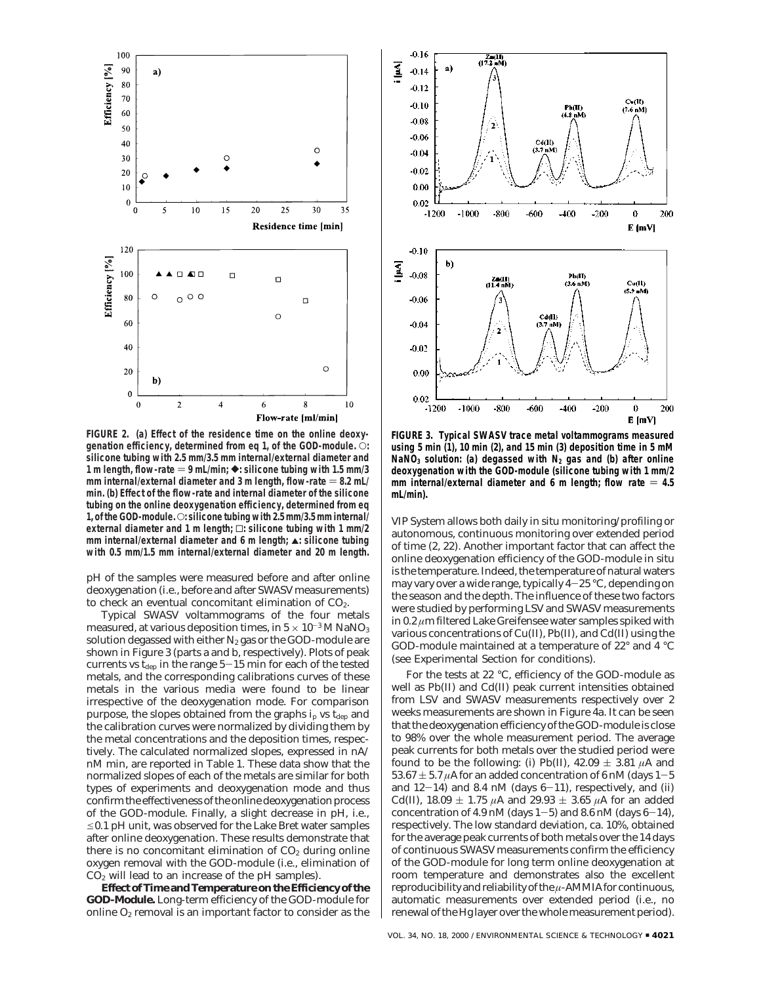

**FIGURE 2. (a) Effect of the residence time on the online deoxygenation efficiency, determined from eq 1, of the GOD-module.** O**: silicone tubing with 2.5 mm/3.5 mm internal/external diameter and** 1 m length, flow-rate  $= 9$  mL/min;  $\triangle$ : silicone tubing with 1.5 mm/3  $mm$  internal/external diameter and 3 m length, flow-rate  $= 8.2$  mL/ **min. (b) Effect of the flow-rate and internal diameter of the silicone tubing on the online deoxygenation efficiency, determined from eq 1, of the GOD-module.** O**: silicone tubing with 2.5 mm/3.5 mm internal/ external diameter and 1 m length;** 0**: silicone tubing with 1 mm/2** mm internal/external diameter and 6 m length; **▲**: silicone tubing **with 0.5 mm/1.5 mm internal/external diameter and 20 m length.**

pH of the samples were measured before and after online deoxygenation (i.e., before and after SWASV measurements) to check an eventual concomitant elimination of CO<sub>2</sub>.

Typical SWASV voltammograms of the four metals measured, at various deposition times, in  $5 \times 10^{-3}$  M NaNO<sub>3</sub> solution degassed with either  $N_2$  gas or the GOD-module are shown in Figure 3 (parts a and b, respectively). Plots of peak currents vs  $t_{\text{dep}}$  in the range  $5-15$  min for each of the tested metals, and the corresponding calibrations curves of these metals in the various media were found to be linear irrespective of the deoxygenation mode. For comparison purpose, the slopes obtained from the graphs  $i_p$  vs  $t_{\text{dep}}$  and the calibration curves were normalized by dividing them by the metal concentrations and the deposition times, respectively. The calculated normalized slopes, expressed in nA/ nM min, are reported in Table 1. These data show that the normalized slopes of each of the metals are similar for both types of experiments and deoxygenation mode and thus confirm the effectiveness of the online deoxygenation process of the GOD-module. Finally, a slight decrease in pH, i.e.,  $\leq$  0.1 pH unit, was observed for the Lake Bret water samples after online deoxygenation. These results demonstrate that there is no concomitant elimination of  $CO<sub>2</sub>$  during online oxygen removal with the GOD-module (i.e., elimination of  $CO<sub>2</sub>$  will lead to an increase of the pH samples).

**Effect of Time and Temperature on the Efficiency of the GOD-Module.** Long-term efficiency of the GOD-module for online  $O_2$  removal is an important factor to consider as the



**FIGURE 3. Typical SWASV trace metal voltammograms measured using 5 min (1), 10 min (2), and 15 min (3) deposition time in 5 mM** NaNO<sub>3</sub> solution: (a) degassed with N<sub>2</sub> gas and (b) after online **deoxygenation with the GOD-module (silicone tubing with 1 mm/2**  $mm$  internal/external diameter and 6 m length; flow rate  $= 4.5$ **mL/min).**

VIP System allows both daily in situ monitoring/profiling or autonomous, continuous monitoring over extended period of time (*2, 22*). Another important factor that can affect the online deoxygenation efficiency of the GOD-module in situ is the temperature. Indeed, the temperature of natural waters may vary over a wide range, typically 4-<sup>25</sup> °C, depending on the season and the depth. The influence of these two factors were studied by performing LSV and SWASV measurements in 0.2 *µ*m filtered Lake Greifensee water samples spiked with various concentrations of Cu(II), Pb(II), and Cd(II) using the GOD-module maintained at a temperature of 22° and 4 °C (see Experimental Section for conditions).

For the tests at 22 °C, efficiency of the GOD-module as well as Pb(II) and Cd(II) peak current intensities obtained from LSV and SWASV measurements respectively over 2 weeks measurements are shown in Figure 4a. It can be seen that the deoxygenation efficiency of the GOD-module is close to 98% over the whole measurement period. The average peak currents for both metals over the studied period were found to be the following: (i) Pb(II),  $42.09 \pm 3.81 \mu$ A and  $53.67 \pm 5.7 \,\mu\text{A}$  for an added concentration of 6 nM (days  $1-5$ and  $12-14$ ) and 8.4 nM (days  $6-11$ ), respectively, and (ii) Cd(II), 18.09  $\pm$  1.75  $\mu$ A and 29.93  $\pm$  3.65  $\mu$ A for an added concentration of 4.9 nM (days  $1-5$ ) and 8.6 nM (days  $6-14$ ), respectively. The low standard deviation, ca. 10%, obtained for the average peak currents of both metals over the 14 days of continuous SWASV measurements confirm the efficiency of the GOD-module for long term online deoxygenation at room temperature and demonstrates also the excellent reproducibility and reliability of the *µ*-AMMIA for continuous, automatic measurements over extended period (i.e., no renewal of the Hg layer over the whole measurement period).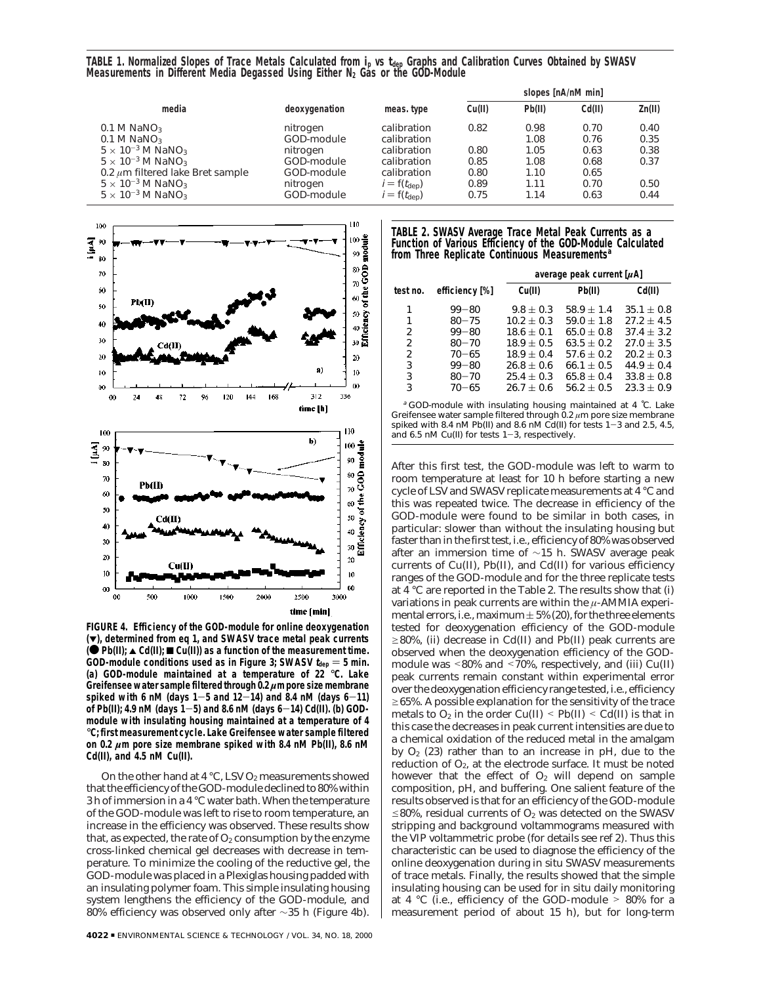TABLE 1. Normalized Slopes of Trace Metals Calculated from  $i_p$  vs  $t_{\text{dep}}$  Graphs and Calibration Curves Obtained by SWASV<br>Measurements in Different Media Degassed Using Either N<sub>2</sub> Gas or the GOD-Module

|                                        | deoxygenation | meas. type              | slopes [nA/nM min] |        |        |        |
|----------------------------------------|---------------|-------------------------|--------------------|--------|--------|--------|
| media                                  |               |                         | Cu(II)             | Pb(II) | Cd(II) | Zn(II) |
| $0.1$ M NaNO <sub>3</sub>              | nitrogen      | calibration             | 0.82               | 0.98   | 0.70   | 0.40   |
| $0.1$ M NaNO <sub>3</sub>              | GOD-module    | calibration             |                    | 1.08   | 0.76   | 0.35   |
| $5 \times 10^{-3}$ M NaNO <sub>3</sub> | nitrogen      | calibration             | 0.80               | 1.05   | 0.63   | 0.38   |
| $5 \times 10^{-3}$ M NaNO <sub>3</sub> | GOD-module    | calibration             | 0.85               | 1.08   | 0.68   | 0.37   |
| 0.2 $\mu$ m filtered lake Bret sample  | GOD-module    | calibration             | 0.80               | 1.10   | 0.65   |        |
| $5 \times 10^{-3}$ M NaNO <sub>3</sub> | nitrogen      | $i = f(t_{\text{dep}})$ | 0.89               | 1.11   | 0.70   | 0.50   |
| $5 \times 10^{-3}$ M NaNO <sub>3</sub> | GOD-module    | $i = f(t_{\text{dep}})$ | 0.75               | 1.14   | 0.63   | 0.44   |



**FIGURE 4. Efficiency of the GOD-module for online deoxygenation (**1**), determined from eq 1, and SWASV trace metal peak currents (● Pb(II); ▲ Cd(II); ■ Cu(II)) as a function of the measurement time.** GOD-module conditions used as in Figure 3; SWASV  $t_{dep} = 5$  min. **(a) GOD-module maintained at a temperature of 22** °**C. Lake Greifensee water sample filtered through 0.2***µ***m pore size membrane spiked with 6 nM (days 1**-**5 and 12**-**14) and 8.4 nM (days 6**-**11) of Pb(II); 4.9 nM (days 1**-**5) and 8.6 nM (days 6**-**14) Cd(II). (b) GODmodule with insulating housing maintained at a temperature of 4** °**C; first measurement cycle. Lake Greifensee water sample filtered on 0.2** *µ***m pore size membrane spiked with 8.4 nM Pb(II), 8.6 nM Cd(II), and 4.5 nM Cu(II).**

On the other hand at  $4^{\circ}$ C, LSV O<sub>2</sub> measurements showed that the efficiency of the GOD-module declined to 80% within 3 h of immersion in a 4 °C water bath. When the temperature of the GOD-module was left to rise to room temperature, an increase in the efficiency was observed. These results show that, as expected, the rate of  $O_2$  consumption by the enzyme cross-linked chemical gel decreases with decrease in temperature. To minimize the cooling of the reductive gel, the GOD-module was placed in a Plexiglas housing padded with an insulating polymer foam. This simple insulating housing system lengthens the efficiency of the GOD-module, and 80% efficiency was observed only after ∼35 h (Figure 4b).

**TABLE 2. SWASV Average Trace Metal Peak Currents as a Function of Various Efficiency of the GOD-Module Calculated from Three Replicate Continuous Measurements***<sup>a</sup>*

|               |                | average peak current $[\mu A]$ |                |                |  |  |
|---------------|----------------|--------------------------------|----------------|----------------|--|--|
| test no.      | efficiency [%] | Cu(II)                         | Pb(II)         | Cd(II)         |  |  |
| 1             | $99 - 80$      | $9.8 + 0.3$                    | $58.9 + 1.4$   | $35.1 \pm 0.8$ |  |  |
| 1             | $80 - 75$      | $10.2 \pm 0.3$                 | $59.0 + 1.8$   | $27.2 + 4.5$   |  |  |
| $\mathcal{P}$ | $99 - 80$      | $18.6 \pm 0.1$                 | $65.0 + 0.8$   | $37.4 \pm 3.2$ |  |  |
| $\mathcal{P}$ | $80 - 70$      | $18.9 + 0.5$                   | $63.5 + 0.2$   | $27.0 + 3.5$   |  |  |
| 2             | $70 - 65$      | $18.9 + 0.4$                   | $57.6 + 0.2$   | $20.2 + 0.3$   |  |  |
| 3             | $99 - 80$      | $26.8 + 0.6$                   | $66.1 \pm 0.5$ | $44.9 \pm 0.4$ |  |  |
| 3             | $80 - 70$      | $25.4 \pm 0.3$                 | $65.8 + 0.4$   | $33.8 + 0.8$   |  |  |
| 3             | $70 - 65$      | $26.7 + 0.6$                   | $56.2 + 0.5$   | $23.3 + 0.9$   |  |  |
|               |                |                                |                |                |  |  |

<sup>a</sup> GOD-module with insulating housing maintained at 4 ˚C. Lake Greifensee water sample filtered through 0.2 *µ*m pore size membrane spiked with 8.4 nM Pb(II) and 8.6 nM Cd(II) for tests  $1-3$  and 2.5, 4.5, and 6.5 nM Cu(II) for tests 1-3, respectively.

After this first test, the GOD-module was left to warm to room temperature at least for 10 h before starting a new cycle of LSV and SWASV replicate measurements at 4 °C and this was repeated twice. The decrease in efficiency of the GOD-module were found to be similar in both cases, in particular: slower than without the insulating housing but faster than in the first test, i.e., efficiency of 80% was observed after an immersion time of ∼15 h. SWASV average peak currents of Cu(II), Pb(II), and Cd(II) for various efficiency ranges of the GOD-module and for the three replicate tests at 4 °C are reported in the Table 2. The results show that (i) variations in peak currents are within the *µ*-AMMIA experimental errors, i.e., maximum  $\pm$  5% (*20*), for the three elements tested for deoxygenation efficiency of the GOD-module  $\geq$ 80%, (ii) decrease in Cd(II) and Pb(II) peak currents are observed when the deoxygenation efficiency of the GODmodule was  $\leq 80\%$  and  $\leq 70\%$ , respectively, and (iii) Cu(II) peak currents remain constant within experimental error over the deoxygenation efficiency range tested, i.e., efficiency  $\geq$  65%. A possible explanation for the sensitivity of the trace metals to  $O_2$  in the order Cu(II) < Pb(II) < Cd(II) is that in this case the decreases in peak current intensities are due to a chemical oxidation of the reduced metal in the amalgam by  $O_2$  (23) rather than to an increase in pH, due to the reduction of  $O_2$ , at the electrode surface. It must be noted however that the effect of  $O<sub>2</sub>$  will depend on sample composition, pH, and buffering. One salient feature of the results observed is that for an efficiency of the GOD-module  $\leq$ 80%, residual currents of O<sub>2</sub> was detected on the SWASV stripping and background voltammograms measured with the VIP voltammetric probe (for details see ref *2*). Thus this characteristic can be used to diagnose the efficiency of the online deoxygenation during in situ SWASV measurements of trace metals. Finally, the results showed that the simple insulating housing can be used for in situ daily monitoring at 4 °C (i.e., efficiency of the GOD-module  $> 80\%$  for a measurement period of about 15 h), but for long-term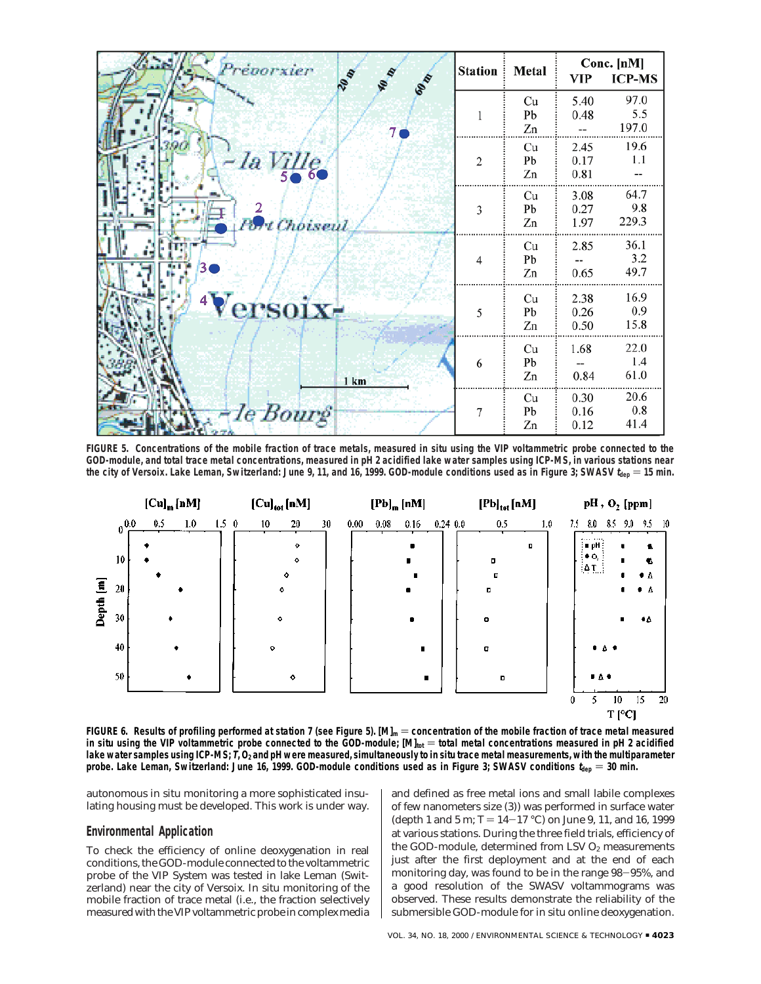

**FIGURE 5. Concentrations of the mobile fraction of trace metals, measured in situ using the VIP voltammetric probe connected to the GOD-module, and total trace metal concentrations, measured in pH 2 acidified lake water samples using ICP-MS, in various stations near** the city of Versoix. Lake Leman, Switzerland: June 9, 11, and 16, 1999. GOD-module conditions used as in Figure 3; SWASV  $t_{\text{dep}} = 15$  min.



FIGURE 6. Results of profiling performed at station 7 (see Figure 5). [M]<sub>m</sub> = concentration of the mobile fraction of trace metal measured in situ using the VIP voltammetric probe connected to the GOD-module; [M]<sub>tot</sub> = total metal concentrations measured in pH 2 acidified **lake water samples using ICP-MS; <sup>T</sup>, O2 and pH were measured, simultaneously to in situ trace metal measurements, with the multiparameter probe. Lake Leman, Switzerland: June 16, 1999. GOD-module conditions used as in Figure 3; SWASV conditions <sup>t</sup>dep** ) **30 min.**

autonomous in situ monitoring a more sophisticated insulating housing must be developed. This work is under way.

#### **Environmental Application**

To check the efficiency of online deoxygenation in real conditions, the GOD-module connected to the voltammetric probe of the VIP System was tested in lake Leman (Switzerland) near the city of Versoix. In situ monitoring of the mobile fraction of trace metal (i.e., the fraction selectively measured with the VIP voltammetric probe in complex media and defined as free metal ions and small labile complexes of few nanometers size (*3*)) was performed in surface water (depth 1 and 5 m; *T* = 14-17 °C) on June 9, 11, and 16, 1999 at various stations. During the three field trials, efficiency of the GOD-module, determined from LSV  $O<sub>2</sub>$  measurements just after the first deployment and at the end of each monitoring day, was found to be in the range 98-95%, and a good resolution of the SWASV voltammograms was observed. These results demonstrate the reliability of the submersible GOD-module for in situ online deoxygenation.